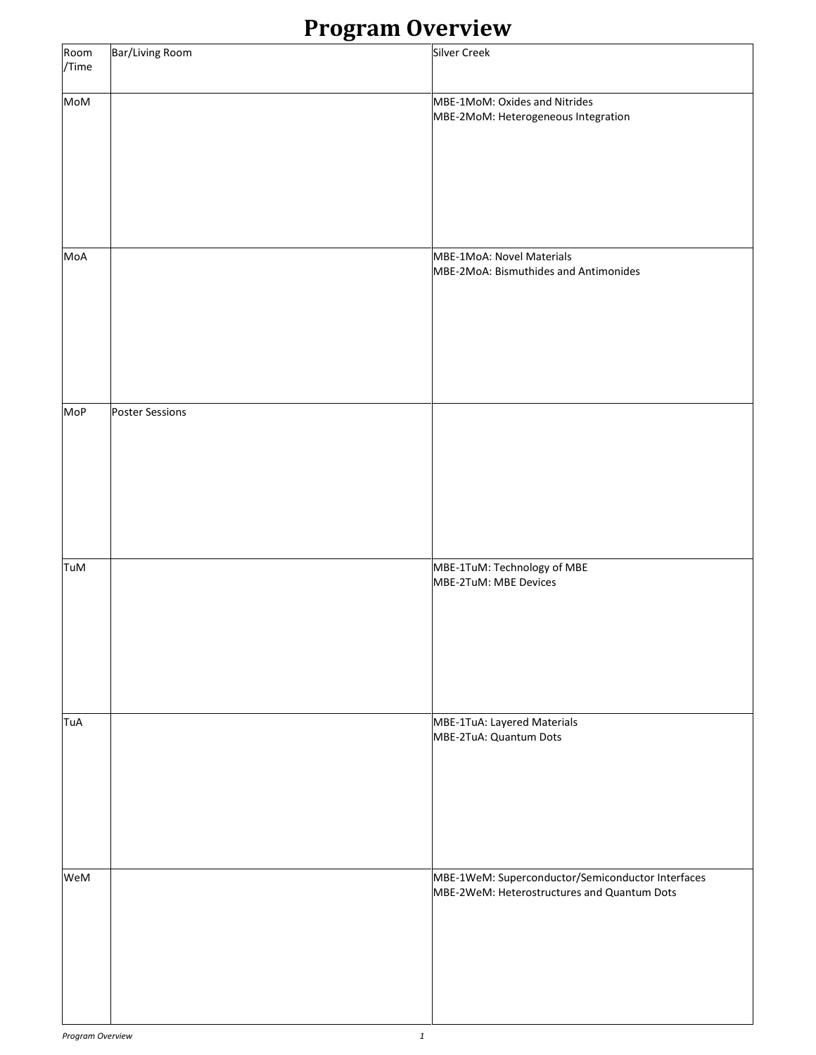### **Program Overview**

|               | $- - -$ o<br>- ----    |                                                                                                  |
|---------------|------------------------|--------------------------------------------------------------------------------------------------|
| Room<br>/Time | Bar/Living Room        | <b>Silver Creek</b>                                                                              |
| MoM           |                        | MBE-1MoM: Oxides and Nitrides<br>MBE-2MoM: Heterogeneous Integration                             |
| MoA           |                        | MBE-1MoA: Novel Materials<br>MBE-2MoA: Bismuthides and Antimonides                               |
| MoP           | <b>Poster Sessions</b> |                                                                                                  |
| TuM           |                        | MBE-1TuM: Technology of MBE<br>MBE-2TuM: MBE Devices                                             |
| TuA           |                        | MBE-1TuA: Layered Materials<br>MBE-2TuA: Quantum Dots                                            |
| WeM           |                        | MBE-1WeM: Superconductor/Semiconductor Interfaces<br>MBE-2WeM: Heterostructures and Quantum Dots |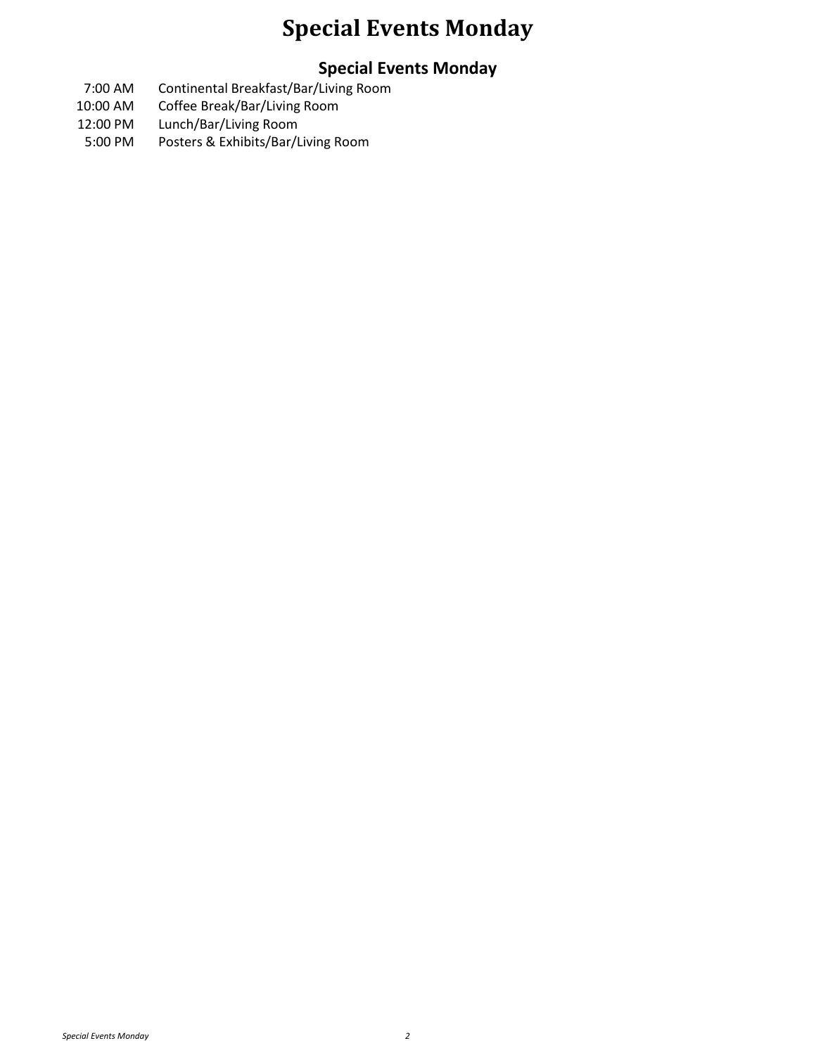### **Special Events Monday**

### **Special Events Monday**

- 7:00 AM Continental Breakfast/Bar/Living Room
- 10:00 AM Coffee Break/Bar/Living Room
- 12:00 PM Lunch/Bar/Living Room
- 5:00 PM Posters & Exhibits/Bar/Living Room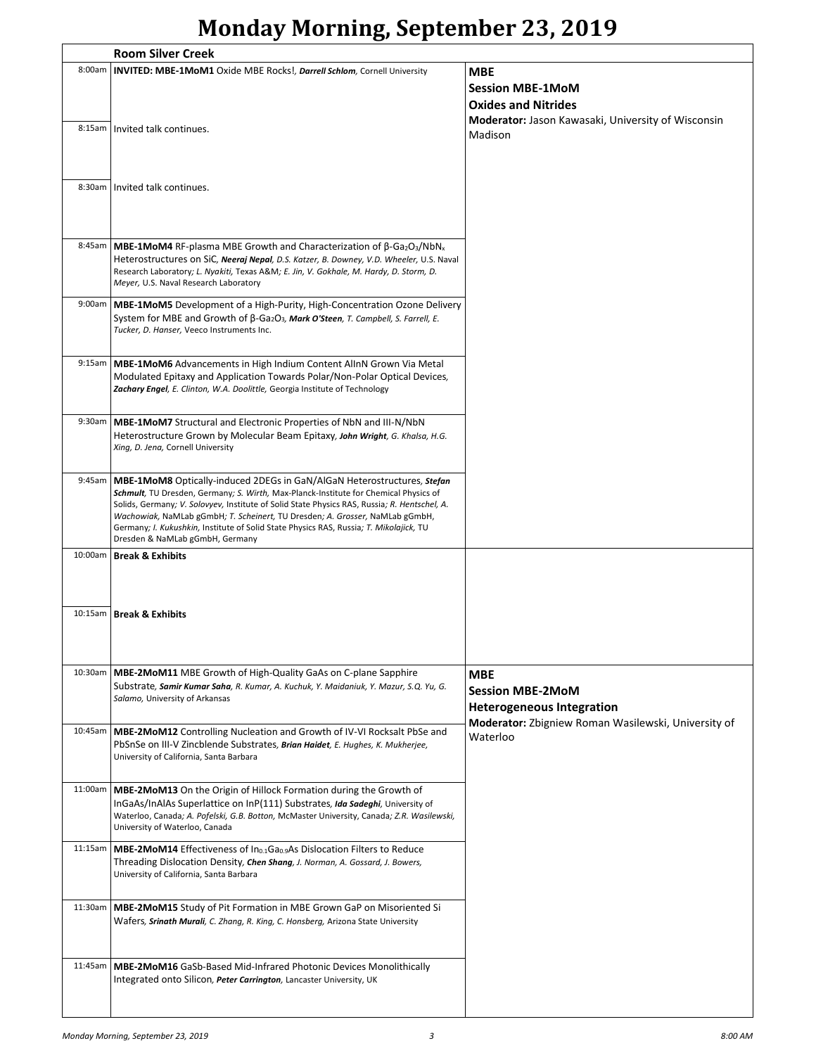## **Monday Morning, September 23, 2019**

|         | <b>Room Silver Creek</b>                                                                                                                                                                                           |                                                     |  |
|---------|--------------------------------------------------------------------------------------------------------------------------------------------------------------------------------------------------------------------|-----------------------------------------------------|--|
| 8:00am  | INVITED: MBE-1MoM1 Oxide MBE Rocks!, Darrell Schlom, Cornell University                                                                                                                                            | MBE                                                 |  |
|         |                                                                                                                                                                                                                    | <b>Session MBE-1MoM</b>                             |  |
|         |                                                                                                                                                                                                                    |                                                     |  |
|         |                                                                                                                                                                                                                    | <b>Oxides and Nitrides</b>                          |  |
| 8:15am  | Invited talk continues.                                                                                                                                                                                            | Moderator: Jason Kawasaki, University of Wisconsin  |  |
|         |                                                                                                                                                                                                                    | Madison                                             |  |
|         |                                                                                                                                                                                                                    |                                                     |  |
|         |                                                                                                                                                                                                                    |                                                     |  |
| 8:30am  | Invited talk continues.                                                                                                                                                                                            |                                                     |  |
|         |                                                                                                                                                                                                                    |                                                     |  |
|         |                                                                                                                                                                                                                    |                                                     |  |
|         |                                                                                                                                                                                                                    |                                                     |  |
| 8:45am  |                                                                                                                                                                                                                    |                                                     |  |
|         | <b>MBE-1MoM4</b> RF-plasma MBE Growth and Characterization of $\beta$ -Ga <sub>2</sub> O <sub>3</sub> /NbN <sub>x</sub><br>Heterostructures on SiC, Neeraj Nepal, D.S. Katzer, B. Downey, V.D. Wheeler, U.S. Naval |                                                     |  |
|         | Research Laboratory; L. Nyakiti, Texas A&M E. Jin, V. Gokhale, M. Hardy, D. Storm, D.                                                                                                                              |                                                     |  |
|         | Meyer, U.S. Naval Research Laboratory                                                                                                                                                                              |                                                     |  |
|         |                                                                                                                                                                                                                    |                                                     |  |
| 9:00am  | <b>MBE-1MoM5</b> Development of a High-Purity, High-Concentration Ozone Delivery<br>System for MBE and Growth of β-Ga2O3, Mark O'Steen, T. Campbell, S. Farrell, E.                                                |                                                     |  |
|         | Tucker, D. Hanser, Veeco Instruments Inc.                                                                                                                                                                          |                                                     |  |
|         |                                                                                                                                                                                                                    |                                                     |  |
|         |                                                                                                                                                                                                                    |                                                     |  |
| 9:15am  | MBE-1MoM6 Advancements in High Indium Content AllnN Grown Via Metal                                                                                                                                                |                                                     |  |
|         | Modulated Epitaxy and Application Towards Polar/Non-Polar Optical Devices,<br>Zachary Engel, E. Clinton, W.A. Doolittle, Georgia Institute of Technology                                                           |                                                     |  |
|         |                                                                                                                                                                                                                    |                                                     |  |
|         |                                                                                                                                                                                                                    |                                                     |  |
| 9:30am  | <b>MBE-1MoM7</b> Structural and Electronic Properties of NbN and III-N/NbN                                                                                                                                         |                                                     |  |
|         | Heterostructure Grown by Molecular Beam Epitaxy, John Wright, G. Khalsa, H.G.<br>Xing, D. Jena, Cornell University                                                                                                 |                                                     |  |
|         |                                                                                                                                                                                                                    |                                                     |  |
|         |                                                                                                                                                                                                                    |                                                     |  |
| 9:45am  | <b>MBE-1MoM8</b> Optically-induced 2DEGs in GaN/AIGAN Heterostructures, Stefan                                                                                                                                     |                                                     |  |
|         | Schmult, TU Dresden, Germany; S. Wirth, Max-Planck-Institute for Chemical Physics of<br>Solids, Germany; V. Solovyev, Institute of Solid State Physics RAS, Russia; R. Hentschel, A.                               |                                                     |  |
|         | Wachowiak, NaMLab gGmbH; T. Scheinert, TU Dresden; A. Grosser, NaMLab gGmbH,                                                                                                                                       |                                                     |  |
|         | Germany; I. Kukushkin, Institute of Solid State Physics RAS, Russia; T. Mikolajick, TU                                                                                                                             |                                                     |  |
|         | Dresden & NaMLab gGmbH, Germany                                                                                                                                                                                    |                                                     |  |
|         | 10:00am   Break & Exhibits                                                                                                                                                                                         |                                                     |  |
|         |                                                                                                                                                                                                                    |                                                     |  |
|         |                                                                                                                                                                                                                    |                                                     |  |
|         |                                                                                                                                                                                                                    |                                                     |  |
|         | 10:15am   Break & Exhibits                                                                                                                                                                                         |                                                     |  |
|         |                                                                                                                                                                                                                    |                                                     |  |
|         |                                                                                                                                                                                                                    |                                                     |  |
|         |                                                                                                                                                                                                                    |                                                     |  |
| 10:30am | MBE-2MoM11 MBE Growth of High-Quality GaAs on C-plane Sapphire                                                                                                                                                     | <b>MBE</b>                                          |  |
|         | Substrate, Samir Kumar Saha, R. Kumar, A. Kuchuk, Y. Maidaniuk, Y. Mazur, S.Q. Yu, G.<br>Salamo, University of Arkansas                                                                                            | <b>Session MBE-2MoM</b>                             |  |
|         |                                                                                                                                                                                                                    | <b>Heterogeneous Integration</b>                    |  |
|         |                                                                                                                                                                                                                    | Moderator: Zbigniew Roman Wasilewski, University of |  |
| 10:45am | MBE-2MoM12 Controlling Nucleation and Growth of IV-VI Rocksalt PbSe and                                                                                                                                            | Waterloo                                            |  |
|         | PbSnSe on III-V Zincblende Substrates, Brian Haidet, E. Hughes, K. Mukherjee,<br>University of California, Santa Barbara                                                                                           |                                                     |  |
|         |                                                                                                                                                                                                                    |                                                     |  |
|         |                                                                                                                                                                                                                    |                                                     |  |
| 11:00am | <b>MBE-2MoM13</b> On the Origin of Hillock Formation during the Growth of                                                                                                                                          |                                                     |  |
|         | InGaAs/InAlAs Superlattice on InP(111) Substrates, Ida Sadeghi, University of<br>Waterloo, Canada; A. Pofelski, G.B. Botton, McMaster University, Canada; Z.R. Wasilewski,                                         |                                                     |  |
|         | University of Waterloo, Canada                                                                                                                                                                                     |                                                     |  |
|         |                                                                                                                                                                                                                    |                                                     |  |
| 11:15am | <b>MBE-2MoM14</b> Effectiveness of In <sub>0.1</sub> Ga <sub>0.9</sub> As Dislocation Filters to Reduce                                                                                                            |                                                     |  |
|         | Threading Dislocation Density, Chen Shang, J. Norman, A. Gossard, J. Bowers,<br>University of California, Santa Barbara                                                                                            |                                                     |  |
|         |                                                                                                                                                                                                                    |                                                     |  |
|         |                                                                                                                                                                                                                    |                                                     |  |
| 11:30am | <b>MBE-2MoM15</b> Study of Pit Formation in MBE Grown GaP on Misoriented Si                                                                                                                                        |                                                     |  |
|         | Wafers, Srinath Murali, C. Zhang, R. King, C. Honsberg, Arizona State University                                                                                                                                   |                                                     |  |
|         |                                                                                                                                                                                                                    |                                                     |  |
|         |                                                                                                                                                                                                                    |                                                     |  |
| 11:45am | <b>MBE-2MoM16</b> GaSb-Based Mid-Infrared Photonic Devices Monolithically                                                                                                                                          |                                                     |  |
|         | Integrated onto Silicon, Peter Carrington, Lancaster University, UK                                                                                                                                                |                                                     |  |
|         |                                                                                                                                                                                                                    |                                                     |  |
|         |                                                                                                                                                                                                                    |                                                     |  |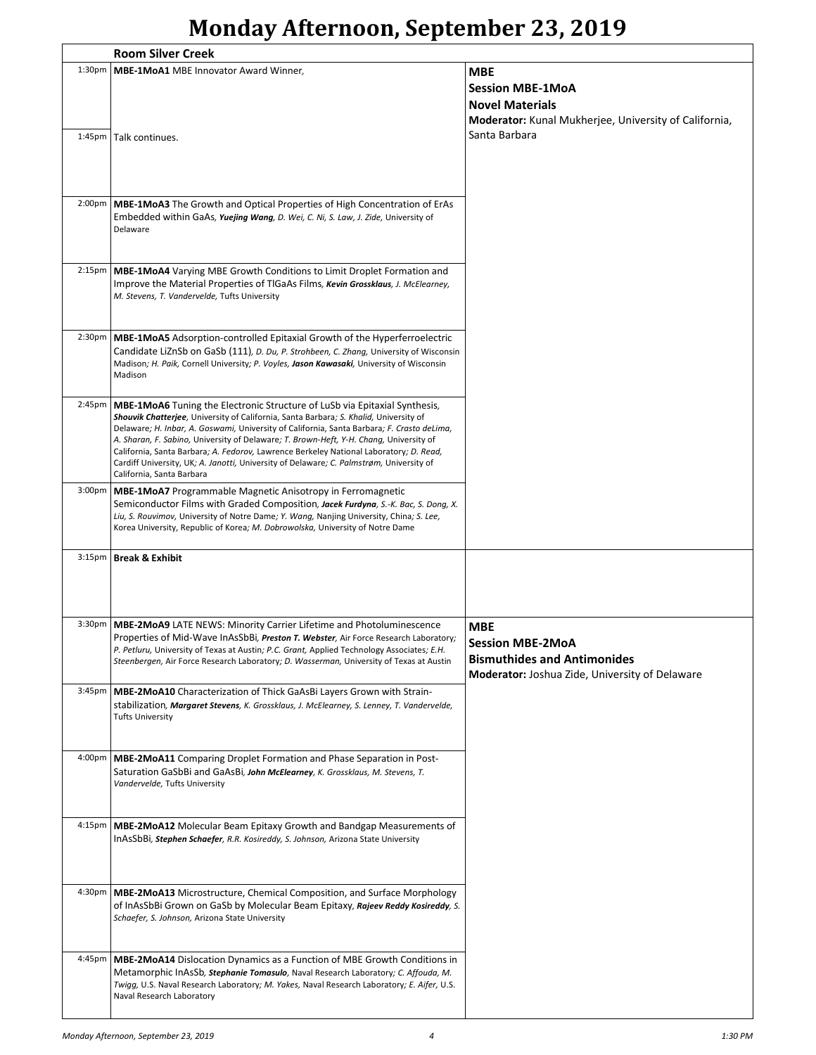### **Monday Afternoon, September 23, 2019**

|                     | <b>Room Silver Creek</b>                                                                                                                                                                                                                                                                                                                                                                                                                                                                                                                                                             |                                                                                                                               |  |
|---------------------|--------------------------------------------------------------------------------------------------------------------------------------------------------------------------------------------------------------------------------------------------------------------------------------------------------------------------------------------------------------------------------------------------------------------------------------------------------------------------------------------------------------------------------------------------------------------------------------|-------------------------------------------------------------------------------------------------------------------------------|--|
| 1:30 <sub>pm</sub>  | MBE-1MoA1 MBE Innovator Award Winner,                                                                                                                                                                                                                                                                                                                                                                                                                                                                                                                                                | <b>MBE</b>                                                                                                                    |  |
|                     | 1:45pm   Talk continues.                                                                                                                                                                                                                                                                                                                                                                                                                                                                                                                                                             | <b>Session MBE-1MoA</b><br><b>Novel Materials</b><br>Moderator: Kunal Mukherjee, University of California,<br>Santa Barbara   |  |
| $2:00p$ m           | MBE-1MoA3 The Growth and Optical Properties of High Concentration of ErAs<br>Embedded within GaAs, Yuejing Wang, D. Wei, C. Ni, S. Law, J. Zide, University of<br>Delaware                                                                                                                                                                                                                                                                                                                                                                                                           |                                                                                                                               |  |
| 2:15 <sub>pm</sub>  | <b>MBE-1MoA4</b> Varying MBE Growth Conditions to Limit Droplet Formation and<br>Improve the Material Properties of TIGaAs Films, Kevin Grossklaus, J. McElearney,<br>M. Stevens, T. Vandervelde, Tufts University                                                                                                                                                                                                                                                                                                                                                                   |                                                                                                                               |  |
| 2:30 <sub>p</sub> m | MBE-1MoA5 Adsorption-controlled Epitaxial Growth of the Hyperferroelectric<br>Candidate LiZnSb on GaSb (111), D. Du, P. Strohbeen, C. Zhang, University of Wisconsin<br>Madison; H. Paik, Cornell University; P. Voyles, Jason Kawasaki, University of Wisconsin<br>Madison                                                                                                                                                                                                                                                                                                          |                                                                                                                               |  |
| 2:45 <sub>pm</sub>  | <b>MBE-1MoA6</b> Tuning the Electronic Structure of LuSb via Epitaxial Synthesis,<br>Shouvik Chatterjee, University of California, Santa Barbara; S. Khalid, University of<br>Delaware; H. Inbar, A. Goswami, University of California, Santa Barbara; F. Crasto deLima,<br>A. Sharan, F. Sabino, University of Delaware; T. Brown-Heft, Y-H. Chang, University of<br>California, Santa Barbara; A. Fedorov, Lawrence Berkeley National Laboratory; D. Read,<br>Cardiff University, UK; A. Janotti, University of Delaware; C. Palmstrøm, University of<br>California, Santa Barbara |                                                                                                                               |  |
| $3:00p$ m           | <b>MBE-1MoA7</b> Programmable Magnetic Anisotropy in Ferromagnetic<br>Semiconductor Films with Graded Composition, Jacek Furdyna, S.-K. Bac, S. Dong, X.<br>Liu, S. Rouvimov, University of Notre Dame; Y. Wang, Nanjing University, China; S. Lee,<br>Korea University, Republic of Korea; M. Dobrowolska, University of Notre Dame                                                                                                                                                                                                                                                 |                                                                                                                               |  |
| 3:15 <sub>pm</sub>  | <b>Break &amp; Exhibit</b>                                                                                                                                                                                                                                                                                                                                                                                                                                                                                                                                                           |                                                                                                                               |  |
|                     | 3:30pm   MBE-2MoA9 LATE NEWS: Minority Carrier Lifetime and Photoluminescence<br>Properties of Mid-Wave InAsSbBi, Preston T. Webster, Air Force Research Laboratory;<br>P. Petluru, University of Texas at Austin; P.C. Grant, Applied Technology Associates; E.H.<br>Steenbergen, Air Force Research Laboratory; D. Wasserman, University of Texas at Austin                                                                                                                                                                                                                        | <b>MBE</b><br><b>Session MBE-2MoA</b><br><b>Bismuthides and Antimonides</b><br>Moderator: Joshua Zide, University of Delaware |  |
| 3:45pm              | MBE-2MoA10 Characterization of Thick GaAsBi Layers Grown with Strain-<br>stabilization, Margaret Stevens, K. Grossklaus, J. McElearney, S. Lenney, T. Vandervelde,<br><b>Tufts University</b>                                                                                                                                                                                                                                                                                                                                                                                        |                                                                                                                               |  |
| 4:00pm              | <b>MBE-2MoA11</b> Comparing Droplet Formation and Phase Separation in Post-<br>Saturation GaSbBi and GaAsBi, John McElearney, K. Grossklaus, M. Stevens, T.<br>Vandervelde, Tufts University                                                                                                                                                                                                                                                                                                                                                                                         |                                                                                                                               |  |
| 4:15pm              | <b>MBE-2MoA12</b> Molecular Beam Epitaxy Growth and Bandgap Measurements of<br>InAsSbBi, Stephen Schaefer, R.R. Kosireddy, S. Johnson, Arizona State University                                                                                                                                                                                                                                                                                                                                                                                                                      |                                                                                                                               |  |
| 4:30pm              | <b>MBE-2MoA13</b> Microstructure, Chemical Composition, and Surface Morphology<br>of InAsSbBi Grown on GaSb by Molecular Beam Epitaxy, Rajeev Reddy Kosireddy, S.<br>Schaefer, S. Johnson, Arizona State University                                                                                                                                                                                                                                                                                                                                                                  |                                                                                                                               |  |
| 4:45pm              | <b>MBE-2MoA14</b> Dislocation Dynamics as a Function of MBE Growth Conditions in<br>Metamorphic InAsSb, <i>Stephanie Tomasulo</i> , Naval Research Laboratory; C. Affouda, M.<br>Twigg, U.S. Naval Research Laboratory; M. Yakes, Naval Research Laboratory; E. Aifer, U.S.<br>Naval Research Laboratory                                                                                                                                                                                                                                                                             |                                                                                                                               |  |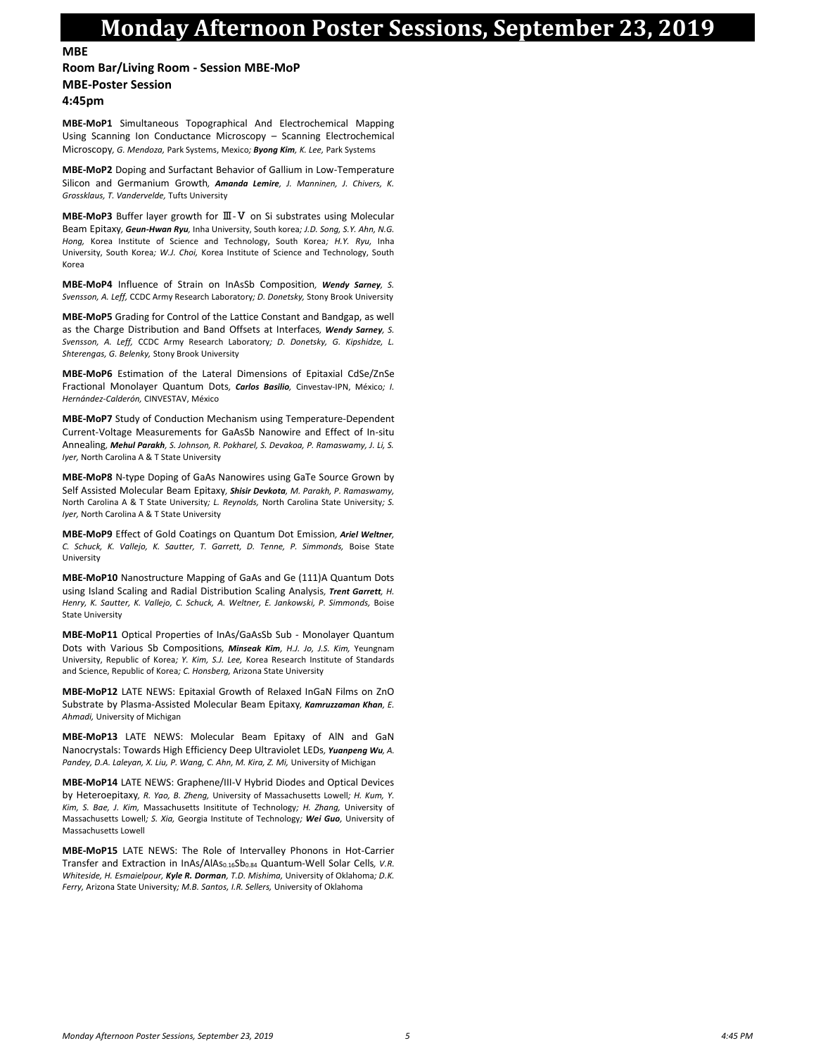### **Monday Afternoon Poster Sessions, September 23, 2019**

**MBE**

#### **Room Bar/Living Room - Session MBE-MoP**

#### **MBE-Poster Session**

**4:45pm**

**MBE-MoP1** Simultaneous Topographical And Electrochemical Mapping Using Scanning Ion Conductance Microscopy – Scanning Electrochemical Microscopy*, G. Mendoza,* Park Systems, Mexico*; Byong Kim, K. Lee,* Park Systems

**MBE-MoP2** Doping and Surfactant Behavior of Gallium in Low-Temperature Silicon and Germanium Growth*, Amanda Lemire, J. Manninen, J. Chivers, K. Grossklaus, T. Vandervelde,* Tufts University

**MBE-MoP3** Buffer layer growth for Ⅲ-Ⅴ on Si substrates using Molecular Beam Epitaxy*, Geun-Hwan Ryu,* Inha University, South korea*; J.D. Song, S.Y. Ahn, N.G. Hong,* Korea Institute of Science and Technology, South Korea*; H.Y. Ryu,* Inha University, South Korea*; W.J. Choi,* Korea Institute of Science and Technology, South Korea

**MBE-MoP4** Influence of Strain on InAsSb Composition*, Wendy Sarney, S. Svensson, A. Leff,* CCDC Army Research Laboratory*; D. Donetsky,* Stony Brook University

**MBE-MoP5** Grading for Control of the Lattice Constant and Bandgap, as well as the Charge Distribution and Band Offsets at Interfaces*, Wendy Sarney, S. Svensson, A. Leff,* CCDC Army Research Laboratory*; D. Donetsky, G. Kipshidze, L. Shterengas, G. Belenky,* Stony Brook University

**MBE-MoP6** Estimation of the Lateral Dimensions of Epitaxial CdSe/ZnSe Fractional Monolayer Quantum Dots*, Carlos Basilio,* Cinvestav-IPN, México*; I. Hernández-Calderón,* CINVESTAV, México

**MBE-MoP7** Study of Conduction Mechanism using Temperature-Dependent Current-Voltage Measurements for GaAsSb Nanowire and Effect of In-situ Annealing*, Mehul Parakh, S. Johnson, R. Pokharel, S. Devakoa, P. Ramaswamy, J. Li, S. Iyer,* North Carolina A & T State University

**MBE-MoP8** N-type Doping of GaAs Nanowires using GaTe Source Grown by Self Assisted Molecular Beam Epitaxy*, Shisir Devkota, M. Parakh, P. Ramaswamy,*  North Carolina A & T State University*; L. Reynolds,* North Carolina State University*; S. Iyer,* North Carolina A & T State University

**MBE-MoP9** Effect of Gold Coatings on Quantum Dot Emission*, Ariel Weltner, C. Schuck, K. Vallejo, K. Sautter, T. Garrett, D. Tenne, P. Simmonds,* Boise State University

**MBE-MoP10** Nanostructure Mapping of GaAs and Ge (111)A Quantum Dots using Island Scaling and Radial Distribution Scaling Analysis*, Trent Garrett, H.*  Henry, K. Sautter, K. Vallejo, C. Schuck, A. Weltner, E. Jankowski, P. Simmonds, Boise State University

**MBE-MoP11** Optical Properties of InAs/GaAsSb Sub - Monolayer Quantum Dots with Various Sb Compositions*, Minseak Kim, H.J. Jo, J.S. Kim,* Yeungnam University, Republic of Korea*; Y. Kim, S.J. Lee,* Korea Research Institute of Standards and Science, Republic of Korea*; C. Honsberg,* Arizona State University

**MBE-MoP12** LATE NEWS: Epitaxial Growth of Relaxed InGaN Films on ZnO Substrate by Plasma-Assisted Molecular Beam Epitaxy*, Kamruzzaman Khan, E. Ahmadi,* University of Michigan

**MBE-MoP13** LATE NEWS: Molecular Beam Epitaxy of AlN and GaN Nanocrystals: Towards High Efficiency Deep Ultraviolet LEDs*, Yuanpeng Wu, A.*  Pandey, D.A. Laleyan, X. Liu, P. Wang, C. Ahn, M. Kira, Z. Mi, University of Michigan

**MBE-MoP14** LATE NEWS: Graphene/III-V Hybrid Diodes and Optical Devices by Heteroepitaxy*, R. Yao, B. Zheng,* University of Massachusetts Lowell*; H. Kum, Y. Kim, S. Bae, J. Kim,* Massachusetts Insititute of Technology*; H. Zhang,* University of Massachusetts Lowell*; S. Xia,* Georgia Institute of Technology*; Wei Guo,* University of Massachusetts Lowell

**MBE-MoP15** LATE NEWS: The Role of Intervalley Phonons in Hot-Carrier Transfer and Extraction in InAs/AlAs<sub>0.16</sub>Sb<sub>0.84</sub> Quantum-Well Solar Cells, V.R. *Whiteside, H. Esmaielpour, Kyle R. Dorman, T.D. Mishima,* University of Oklahoma*; D.K. Ferry,* Arizona State University*; M.B. Santos, I.R. Sellers,* University of Oklahoma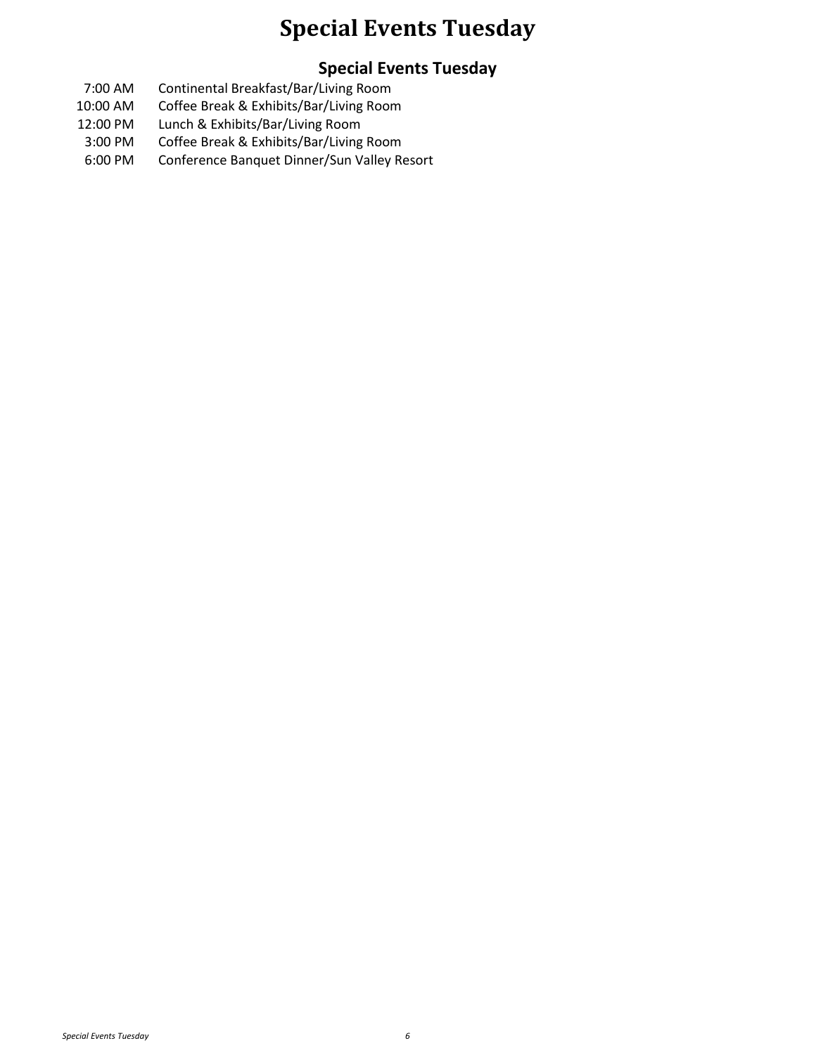### **Special Events Tuesday**

### **Special Events Tuesday**

- 7:00 AM Continental Breakfast/Bar/Living Room
- 10:00 AM Coffee Break & Exhibits/Bar/Living Room
- 12:00 PM Lunch & Exhibits/Bar/Living Room
- 3:00 PM Coffee Break & Exhibits/Bar/Living Room
- 6:00 PM Conference Banquet Dinner/Sun Valley Resort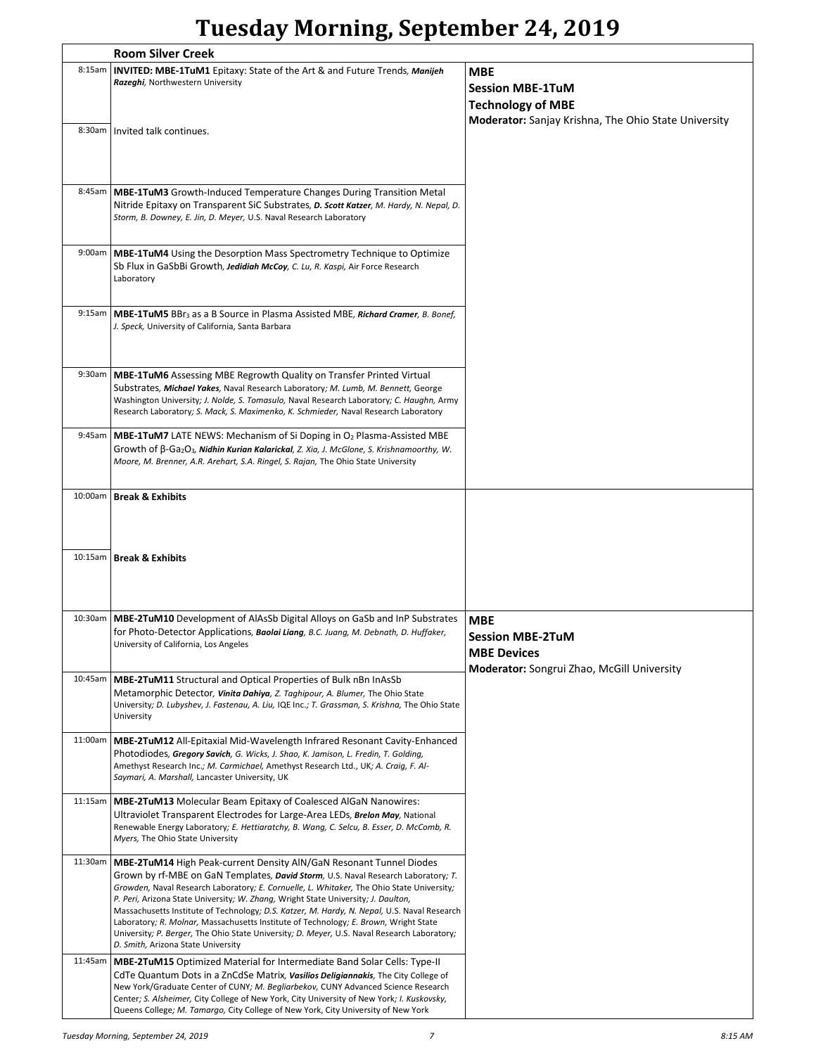# **Tuesday Morning, September 24, 2019**

| <b>Room Silver Creek</b> |                                                                                                                                                                                                                                                                                                                                                                                                                                                                                                                                                                                                                                                                                       |                                                                                                    |
|--------------------------|---------------------------------------------------------------------------------------------------------------------------------------------------------------------------------------------------------------------------------------------------------------------------------------------------------------------------------------------------------------------------------------------------------------------------------------------------------------------------------------------------------------------------------------------------------------------------------------------------------------------------------------------------------------------------------------|----------------------------------------------------------------------------------------------------|
| 8:15am                   | INVITED: MBE-1TuM1 Epitaxy: State of the Art & and Future Trends, Manijeh<br>Razeghi, Northwestern University                                                                                                                                                                                                                                                                                                                                                                                                                                                                                                                                                                         | <b>MBE</b><br><b>Session MBE-1TuM</b><br><b>Technology of MBE</b>                                  |
| 8:30am                   | Invited talk continues.                                                                                                                                                                                                                                                                                                                                                                                                                                                                                                                                                                                                                                                               | Moderator: Sanjay Krishna, The Ohio State University                                               |
| 8:45am                   | <b>MBE-1TuM3</b> Growth-Induced Temperature Changes During Transition Metal<br>Nitride Epitaxy on Transparent SiC Substrates, D. Scott Katzer, M. Hardy, N. Nepal, D.<br>Storm, B. Downey, E. Jin, D. Meyer, U.S. Naval Research Laboratory                                                                                                                                                                                                                                                                                                                                                                                                                                           |                                                                                                    |
| 9:00am                   | <b>MBE-1TuM4</b> Using the Desorption Mass Spectrometry Technique to Optimize<br>Sb Flux in GaSbBi Growth, Jedidiah McCoy, C. Lu, R. Kaspi, Air Force Research<br>Laboratory                                                                                                                                                                                                                                                                                                                                                                                                                                                                                                          |                                                                                                    |
| 9:15am                   | <b>MBE-1TuM5</b> BBr <sub>3</sub> as a B Source in Plasma Assisted MBE, Richard Cramer, B. Bonef,<br>J. Speck, University of California, Santa Barbara                                                                                                                                                                                                                                                                                                                                                                                                                                                                                                                                |                                                                                                    |
| 9:30am                   | <b>MBE-1TuM6</b> Assessing MBE Regrowth Quality on Transfer Printed Virtual<br>Substrates, Michael Yakes, Naval Research Laboratory; M. Lumb, M. Bennett, George<br>Washington University; J. Nolde, S. Tomasulo, Naval Research Laboratory; C. Haughn, Army<br>Research Laboratory; S. Mack, S. Maximenko, K. Schmieder, Naval Research Laboratory                                                                                                                                                                                                                                                                                                                                   |                                                                                                    |
| 9:45am                   | <b>MBE-1TuM7</b> LATE NEWS: Mechanism of Si Doping in O <sub>2</sub> Plasma-Assisted MBE<br>Growth of $\beta$ -Ga <sub>2</sub> O <sub>3</sub> , <b>Nidhin Kurian Kalarickal</b> , Z. Xia, J. McGlone, S. Krishnamoorthy, W.<br>Moore, M. Brenner, A.R. Arehart, S.A. Ringel, S. Rajan, The Ohio State University                                                                                                                                                                                                                                                                                                                                                                      |                                                                                                    |
|                          | 10:00am   Break & Exhibits                                                                                                                                                                                                                                                                                                                                                                                                                                                                                                                                                                                                                                                            |                                                                                                    |
|                          | 10:15am   Break & Exhibits                                                                                                                                                                                                                                                                                                                                                                                                                                                                                                                                                                                                                                                            |                                                                                                    |
| 10:30am                  | <b>MBE-2TuM10</b> Development of AlAsSb Digital Alloys on GaSb and InP Substrates<br>for Photo-Detector Applications, Baolai Liang, B.C. Juang, M. Debnath, D. Huffaker,<br>University of California, Los Angeles                                                                                                                                                                                                                                                                                                                                                                                                                                                                     | MBE<br>Session MBE-2TuM<br><b>MBE Devices</b><br><b>Moderator:</b> Songrui Zhao, McGill University |
| 10:45am                  | <b>MBE-2TuM11</b> Structural and Optical Properties of Bulk nBn InAsSb<br>Metamorphic Detector, Vinita Dahiya, Z. Taghipour, A. Blumer, The Ohio State<br>University; D. Lubyshev, J. Fastenau, A. Liu, IQE Inc.; T. Grassman, S. Krishna, The Ohio State<br>University                                                                                                                                                                                                                                                                                                                                                                                                               |                                                                                                    |
| 11:00am                  | <b>MBE-2TuM12</b> All-Epitaxial Mid-Wavelength Infrared Resonant Cavity-Enhanced<br>Photodiodes, Gregory Savich, G. Wicks, J. Shao, K. Jamison, L. Fredin, T. Golding,<br>Amethyst Research Inc.; M. Carmichael, Amethyst Research Ltd., UK; A. Craig, F. Al-<br>Saymari, A. Marshall, Lancaster University, UK                                                                                                                                                                                                                                                                                                                                                                       |                                                                                                    |
| 11:15am                  | <b>MBE-2TuM13</b> Molecular Beam Epitaxy of Coalesced AlGaN Nanowires:<br>Ultraviolet Transparent Electrodes for Large-Area LEDs, Brelon May, National<br>Renewable Energy Laboratory; E. Hettiaratchy, B. Wang, C. Selcu, B. Esser, D. McComb, R.<br>Myers, The Ohio State University                                                                                                                                                                                                                                                                                                                                                                                                |                                                                                                    |
| 11:30am                  | <b>MBE-2TuM14 High Peak-current Density AIN/GaN Resonant Tunnel Diodes</b><br>Grown by rf-MBE on GaN Templates, <i>David Storm</i> , U.S. Naval Research Laboratory; T.<br>Growden, Naval Research Laboratory; E. Cornuelle, L. Whitaker, The Ohio State University;<br>P. Peri, Arizona State University; W. Zhang, Wright State University; J. Daulton,<br>Massachusetts Institute of Technology; D.S. Katzer, M. Hardy, N. Nepal, U.S. Naval Research<br>Laboratory; R. Molnar, Massachusetts Institute of Technology; E. Brown, Wright State<br>University; P. Berger, The Ohio State University; D. Meyer, U.S. Naval Research Laboratory;<br>D. Smith, Arizona State University |                                                                                                    |
| 11:45am                  | <b>MBE-2TuM15</b> Optimized Material for Intermediate Band Solar Cells: Type-II<br>CdTe Quantum Dots in a ZnCdSe Matrix, Vasilios Deligiannakis, The City College of<br>New York/Graduate Center of CUNY; M. Begliarbekov, CUNY Advanced Science Research<br>Center; S. Alsheimer, City College of New York, City University of New York; I. Kuskovsky,<br>Queens College; M. Tamargo, City College of New York, City University of New York                                                                                                                                                                                                                                          |                                                                                                    |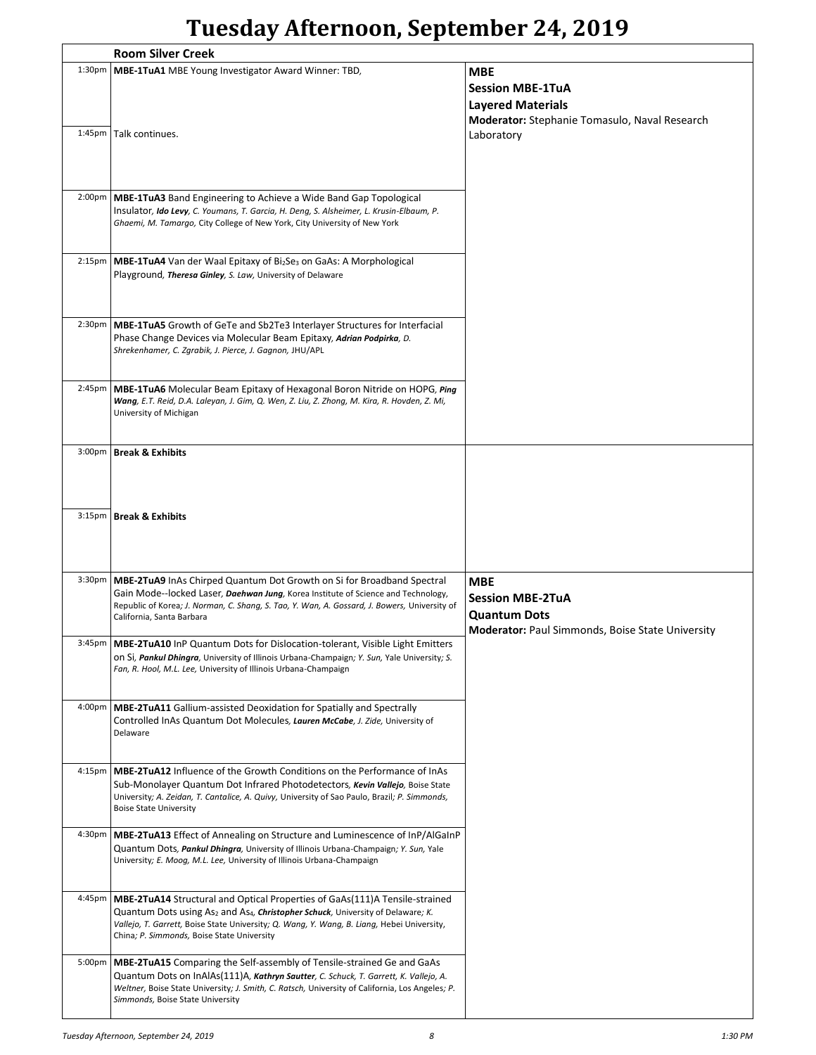## **Tuesday Afternoon, September 24, 2019**

| <b>Room Silver Creek</b> |                                                                                                                                                                          |                                                         |
|--------------------------|--------------------------------------------------------------------------------------------------------------------------------------------------------------------------|---------------------------------------------------------|
| $1:30p$ m                | <b>MBE-1TuA1</b> MBE Young Investigator Award Winner: TBD,                                                                                                               | <b>MBE</b>                                              |
|                          |                                                                                                                                                                          | <b>Session MBE-1TuA</b>                                 |
|                          |                                                                                                                                                                          |                                                         |
|                          |                                                                                                                                                                          | <b>Layered Materials</b>                                |
|                          |                                                                                                                                                                          | Moderator: Stephanie Tomasulo, Naval Research           |
|                          | 1:45pm   Talk continues.                                                                                                                                                 | Laboratory                                              |
|                          |                                                                                                                                                                          |                                                         |
|                          |                                                                                                                                                                          |                                                         |
|                          |                                                                                                                                                                          |                                                         |
| $2:00p$ m                | <b>MBE-1TuA3</b> Band Engineering to Achieve a Wide Band Gap Topological                                                                                                 |                                                         |
|                          | Insulator, Ido Levy, C. Youmans, T. Garcia, H. Deng, S. Alsheimer, L. Krusin-Elbaum, P.                                                                                  |                                                         |
|                          | Ghaemi, M. Tamargo, City College of New York, City University of New York                                                                                                |                                                         |
|                          |                                                                                                                                                                          |                                                         |
| 2:15 <sub>pm</sub>       | MBE-1TuA4 Van der Waal Epitaxy of Bi <sub>2</sub> Se <sub>3</sub> on GaAs: A Morphological                                                                               |                                                         |
|                          | Playground, Theresa Ginley, S. Law, University of Delaware                                                                                                               |                                                         |
|                          |                                                                                                                                                                          |                                                         |
|                          |                                                                                                                                                                          |                                                         |
| 2:30 <sub>p</sub> m      | MBE-1TuA5 Growth of GeTe and Sb2Te3 Interlayer Structures for Interfacial                                                                                                |                                                         |
|                          | Phase Change Devices via Molecular Beam Epitaxy, Adrian Podpirka, D.                                                                                                     |                                                         |
|                          | Shrekenhamer, C. Zgrabik, J. Pierce, J. Gagnon, JHU/APL                                                                                                                  |                                                         |
|                          |                                                                                                                                                                          |                                                         |
|                          |                                                                                                                                                                          |                                                         |
| 2:45 <sub>pm</sub>       | MBE-1TuA6 Molecular Beam Epitaxy of Hexagonal Boron Nitride on HOPG, Ping<br>Wang, E.T. Reid, D.A. Laleyan, J. Gim, Q. Wen, Z. Liu, Z. Zhong, M. Kira, R. Hovden, Z. Mi, |                                                         |
|                          | University of Michigan                                                                                                                                                   |                                                         |
|                          |                                                                                                                                                                          |                                                         |
|                          |                                                                                                                                                                          |                                                         |
| $3:00p$ m                | <b>Break &amp; Exhibits</b>                                                                                                                                              |                                                         |
|                          |                                                                                                                                                                          |                                                         |
|                          |                                                                                                                                                                          |                                                         |
|                          |                                                                                                                                                                          |                                                         |
|                          | 3:15pm   Break & Exhibits                                                                                                                                                |                                                         |
|                          |                                                                                                                                                                          |                                                         |
|                          |                                                                                                                                                                          |                                                         |
|                          |                                                                                                                                                                          |                                                         |
|                          |                                                                                                                                                                          |                                                         |
| 3:30 <sub>pm</sub>       |                                                                                                                                                                          |                                                         |
|                          | MBE-2TuA9 InAs Chirped Quantum Dot Growth on Si for Broadband Spectral<br>Gain Mode--locked Laser, Daehwan Jung, Korea Institute of Science and Technology,              | <b>MBE</b>                                              |
|                          | Republic of Korea; J. Norman, C. Shang, S. Tao, Y. Wan, A. Gossard, J. Bowers, University of                                                                             | <b>Session MBE-2TuA</b>                                 |
|                          | California, Santa Barbara                                                                                                                                                | <b>Quantum Dots</b>                                     |
|                          |                                                                                                                                                                          | <b>Moderator: Paul Simmonds, Boise State University</b> |
|                          | 3:45pm   MBE-2TuA10 InP Quantum Dots for Dislocation-tolerant, Visible Light Emitters                                                                                    |                                                         |
|                          | on Si, Pankul Dhingra, University of Illinois Urbana-Champaign; Y. Sun, Yale University; S.                                                                              |                                                         |
|                          | Fan, R. Hool, M.L. Lee, University of Illinois Urbana-Champaign                                                                                                          |                                                         |
|                          |                                                                                                                                                                          |                                                         |
| $4:00p$ m                | <b>MBE-2TuA11</b> Gallium-assisted Deoxidation for Spatially and Spectrally                                                                                              |                                                         |
|                          | Controlled InAs Quantum Dot Molecules, Lauren McCabe, J. Zide, University of                                                                                             |                                                         |
|                          | Delaware                                                                                                                                                                 |                                                         |
|                          |                                                                                                                                                                          |                                                         |
| 4:15 <sub>pm</sub>       | <b>MBE-2TuA12</b> Influence of the Growth Conditions on the Performance of InAs                                                                                          |                                                         |
|                          | Sub-Monolayer Quantum Dot Infrared Photodetectors, Kevin Vallejo, Boise State                                                                                            |                                                         |
|                          | University; A. Zeidan, T. Cantalice, A. Quivy, University of Sao Paulo, Brazil; P. Simmonds,                                                                             |                                                         |
|                          | <b>Boise State University</b>                                                                                                                                            |                                                         |
|                          |                                                                                                                                                                          |                                                         |
| 4:30 <sub>p</sub> m      | MBE-2TuA13 Effect of Annealing on Structure and Luminescence of InP/AlGaInP                                                                                              |                                                         |
|                          | Quantum Dots, Pankul Dhingra, University of Illinois Urbana-Champaign; Y. Sun, Yale<br>University; E. Moog, M.L. Lee, University of Illinois Urbana-Champaign            |                                                         |
|                          |                                                                                                                                                                          |                                                         |
|                          |                                                                                                                                                                          |                                                         |
| 4:45pm                   | <b>MBE-2TuA14</b> Structural and Optical Properties of GaAs(111)A Tensile-strained                                                                                       |                                                         |
|                          | Quantum Dots using As <sub>2</sub> and As <sub>4</sub> , <i>Christopher Schuck</i> , University of Delaware; K.                                                          |                                                         |
|                          | Vallejo, T. Garrett, Boise State University; Q. Wang, Y. Wang, B. Liang, Hebei University,                                                                               |                                                         |
|                          | China; P. Simmonds, Boise State University                                                                                                                               |                                                         |
| 5:00 <sub>pm</sub>       | MBE-2TuA15 Comparing the Self-assembly of Tensile-strained Ge and GaAs                                                                                                   |                                                         |
|                          | Quantum Dots on InAlAs(111)A, Kathryn Sautter, C. Schuck, T. Garrett, K. Vallejo, A.                                                                                     |                                                         |
|                          | Weltner, Boise State University; J. Smith, C. Ratsch, University of California, Los Angeles; P.<br>Simmonds, Boise State University                                      |                                                         |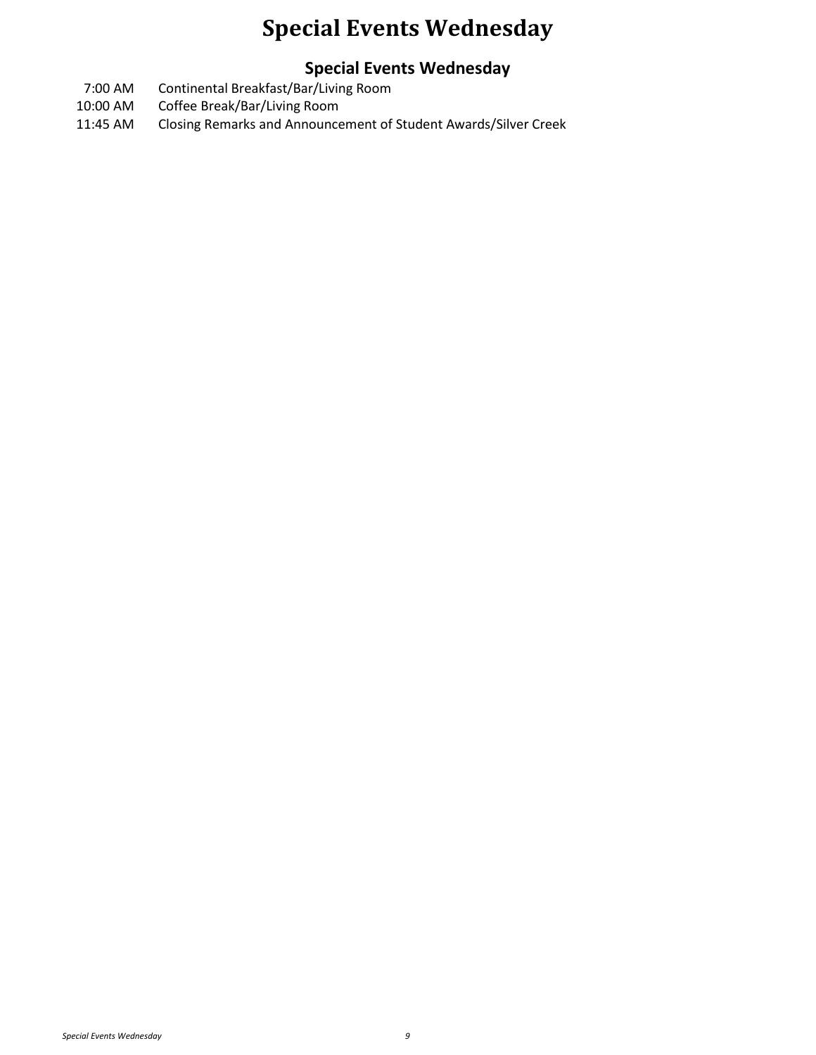## **Special Events Wednesday**

### **Special Events Wednesday**

- 7:00 AM Continental Breakfast/Bar/Living Room
- 10:00 AM Coffee Break/Bar/Living Room
- 11:45 AM Closing Remarks and Announcement of Student Awards/Silver Creek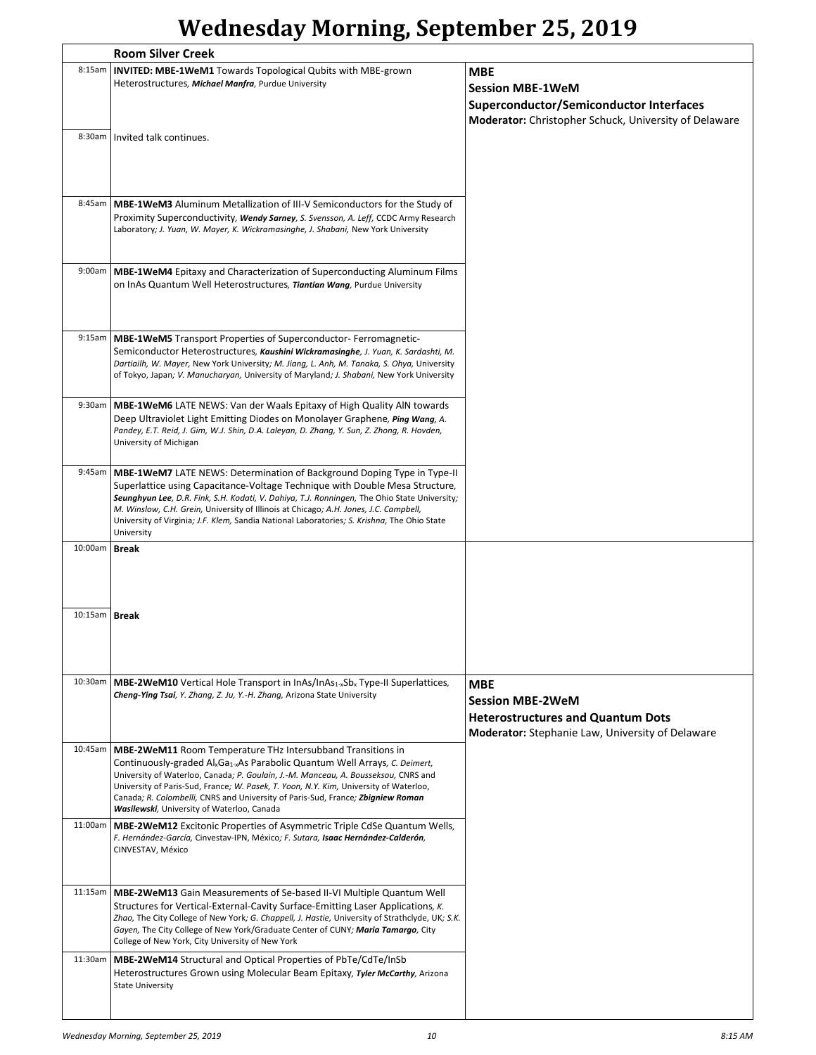# **Wednesday Morning, September 25, 2019**

|                 | <b>Room Silver Creek</b>                                                                                                                                                                                                                                                                                                                                                                                                                                                                  |                                                                                                                                       |  |
|-----------------|-------------------------------------------------------------------------------------------------------------------------------------------------------------------------------------------------------------------------------------------------------------------------------------------------------------------------------------------------------------------------------------------------------------------------------------------------------------------------------------------|---------------------------------------------------------------------------------------------------------------------------------------|--|
| 8:15am          | INVITED: MBE-1WeM1 Towards Topological Qubits with MBE-grown<br>Heterostructures, Michael Manfra, Purdue University                                                                                                                                                                                                                                                                                                                                                                       | <b>MBE</b><br><b>Session MBE-1WeM</b><br>Superconductor/Semiconductor Interfaces                                                      |  |
|                 |                                                                                                                                                                                                                                                                                                                                                                                                                                                                                           | Moderator: Christopher Schuck, University of Delaware                                                                                 |  |
|                 | 8:30am   Invited talk continues.                                                                                                                                                                                                                                                                                                                                                                                                                                                          |                                                                                                                                       |  |
| 8:45am          | <b>MBE-1WeM3</b> Aluminum Metallization of III-V Semiconductors for the Study of<br>Proximity Superconductivity, Wendy Sarney, S. Svensson, A. Leff, CCDC Army Research<br>Laboratory; J. Yuan, W. Mayer, K. Wickramasinghe, J. Shabani, New York University                                                                                                                                                                                                                              |                                                                                                                                       |  |
| 9:00am          | MBE-1WeM4 Epitaxy and Characterization of Superconducting Aluminum Films<br>on InAs Quantum Well Heterostructures, Tiantian Wang, Purdue University                                                                                                                                                                                                                                                                                                                                       |                                                                                                                                       |  |
| 9:15am          | <b>MBE-1WeM5</b> Transport Properties of Superconductor-Ferromagnetic-<br>Semiconductor Heterostructures, Kaushini Wickramasinghe, J. Yuan, K. Sardashti, M.<br>Dartiailh, W. Mayer, New York University; M. Jiang, L. Anh, M. Tanaka, S. Ohya, University<br>of Tokyo, Japan; V. Manucharyan, University of Maryland; J. Shabani, New York University                                                                                                                                    |                                                                                                                                       |  |
| 9:30am          | <b>MBE-1WeM6</b> LATE NEWS: Van der Waals Epitaxy of High Quality AIN towards<br>Deep Ultraviolet Light Emitting Diodes on Monolayer Graphene, Ping Wang, A.<br>Pandey, E.T. Reid, J. Gim, W.J. Shin, D.A. Laleyan, D. Zhang, Y. Sun, Z. Zhong, R. Hovden,<br>University of Michigan                                                                                                                                                                                                      |                                                                                                                                       |  |
| 9:45am          | MBE-1WeM7 LATE NEWS: Determination of Background Doping Type in Type-II<br>Superlattice using Capacitance-Voltage Technique with Double Mesa Structure,<br>Seunghyun Lee, D.R. Fink, S.H. Kodati, V. Dahiya, T.J. Ronningen, The Ohio State University;<br>M. Winslow, C.H. Grein, University of Illinois at Chicago; A.H. Jones, J.C. Campbell,<br>University of Virginia; J.F. Klem, Sandia National Laboratories; S. Krishna, The Ohio State<br>University                             |                                                                                                                                       |  |
| 10:00am         | <b>Break</b>                                                                                                                                                                                                                                                                                                                                                                                                                                                                              |                                                                                                                                       |  |
|                 |                                                                                                                                                                                                                                                                                                                                                                                                                                                                                           |                                                                                                                                       |  |
| 10:15am   Break |                                                                                                                                                                                                                                                                                                                                                                                                                                                                                           |                                                                                                                                       |  |
| 10:30am         | MBE-2WeM10 Vertical Hole Transport in InAs/InAs <sub>1-x</sub> Sb <sub>x</sub> Type-II Superlattices,<br>Cheng-Ying Tsai, Y. Zhang, Z. Ju, Y.-H. Zhang, Arizona State University                                                                                                                                                                                                                                                                                                          | <b>MBE</b><br><b>Session MBE-2WeM</b><br><b>Heterostructures and Quantum Dots</b><br>Moderator: Stephanie Law, University of Delaware |  |
| 10:45am         | <b>MBE-2WeM11 Room Temperature THz Intersubband Transitions in</b><br>Continuously-graded Al <sub>x</sub> Ga <sub>1-x</sub> As Parabolic Quantum Well Arrays, C. Deimert,<br>University of Waterloo, Canada; P. Goulain, J.-M. Manceau, A. Bousseksou, CNRS and<br>University of Paris-Sud, France; W. Pasek, T. Yoon, N.Y. Kim, University of Waterloo,<br>Canada; R. Colombelli, CNRS and University of Paris-Sud, France; Zbigniew Roman<br>Wasilewski, University of Waterloo, Canada |                                                                                                                                       |  |
| 11:00am         | <b>MBE-2WeM12</b> Excitonic Properties of Asymmetric Triple CdSe Quantum Wells,<br>F. Hernández-García, Cinvestav-IPN, México; F. Sutara, Isaac Hernández-Calderón,<br>CINVESTAV, México                                                                                                                                                                                                                                                                                                  |                                                                                                                                       |  |
| 11:15am         | <b>MBE-2WeM13</b> Gain Measurements of Se-based II-VI Multiple Quantum Well<br>Structures for Vertical-External-Cavity Surface-Emitting Laser Applications, K.<br>Zhao, The City College of New York; G. Chappell, J. Hastie, University of Strathclyde, UK; S.K.<br>Gayen, The City College of New York/Graduate Center of CUNY; Maria Tamargo, City<br>College of New York, City University of New York                                                                                 |                                                                                                                                       |  |
| 11:30am         | <b>MBE-2WeM14</b> Structural and Optical Properties of PbTe/CdTe/InSb<br>Heterostructures Grown using Molecular Beam Epitaxy, Tyler McCarthy, Arizona<br><b>State University</b>                                                                                                                                                                                                                                                                                                          |                                                                                                                                       |  |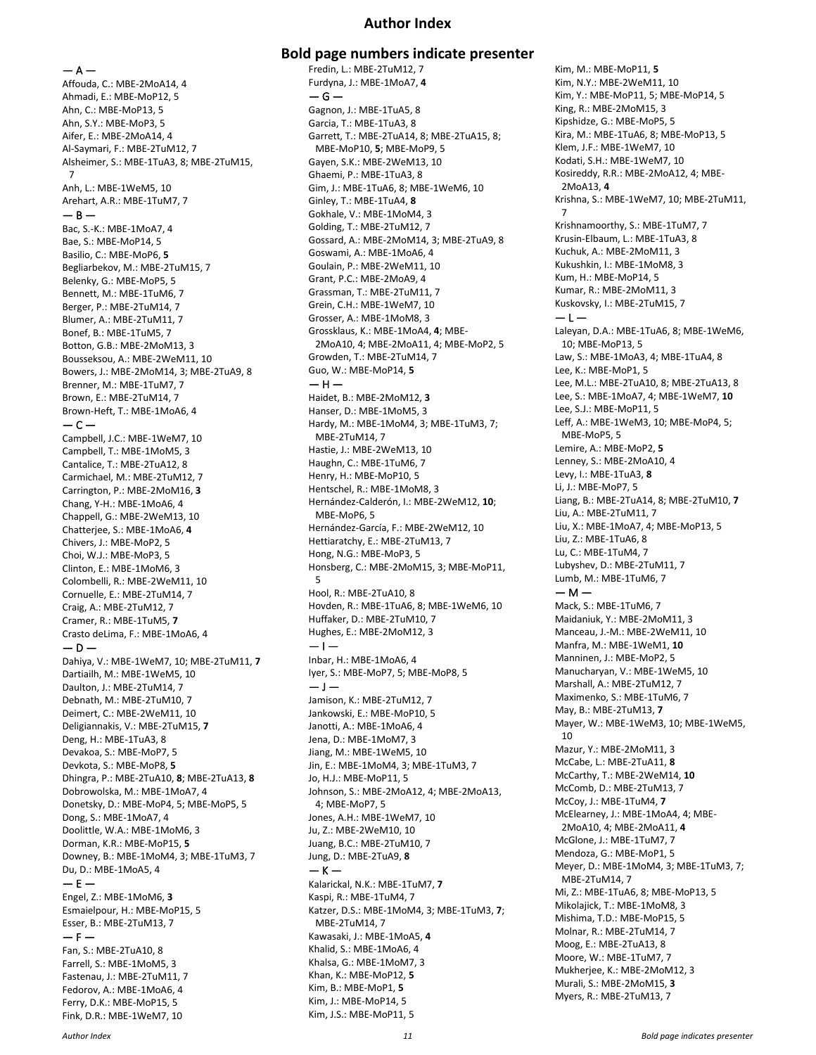#### **Author Index**

 $- A -$ Affouda, C.: MBE-2MoA14, 4 Ahmadi, E.: MBE-MoP12, 5 Ahn, C.: MBE-MoP13, 5 Ahn, S.Y.: MBE-MoP3, 5 Aifer, E.: MBE-2MoA14, 4 Al-Saymari, F.: MBE-2TuM12, 7 Alsheimer, S.: MBE-1TuA3, 8; MBE-2TuM15, 7 Anh, L.: MBE-1WeM5, 10 Arehart, A.R.: MBE-1TuM7, 7  $-$  B  $-$ Bac, S.-K.: MBE-1MoA7, 4 Bae, S.: MBE-MoP14, 5 Basilio, C.: MBE-MoP6, **5** Begliarbekov, M.: MBE-2TuM15, 7 Belenky, G.: MBE-MoP5, 5 Bennett, M.: MBE-1TuM6, 7 Berger, P.: MBE-2TuM14, 7 Blumer, A.: MBE-2TuM11, 7 Bonef, B.: MBE-1TuM5, 7 Botton, G.B.: MBE-2MoM13, 3 Bousseksou, A.: MBE-2WeM11, 10 Bowers, J.: MBE-2MoM14, 3; MBE-2TuA9, 8 Brenner, M.: MBE-1TuM7, 7 Brown, E.: MBE-2TuM14, 7 Brown-Heft, T.: MBE-1MoA6, 4  $-$ Campbell, J.C.: MBE-1WeM7, 10 Campbell, T.: MBE-1MoM5, 3 Cantalice, T.: MBE-2TuA12, 8 Carmichael, M.: MBE-2TuM12, 7 Carrington, P.: MBE-2MoM16, **3** Chang, Y-H.: MBE-1MoA6, 4 Chappell, G.: MBE-2WeM13, 10 Chatterjee, S.: MBE-1MoA6, **4** Chivers, J.: MBE-MoP2, 5 Choi, W.J.: MBE-MoP3, 5 Clinton, E.: MBE-1MoM6, 3 Colombelli, R.: MBE-2WeM11, 10 Cornuelle, E.: MBE-2TuM14, 7 Craig, A.: MBE-2TuM12, 7 Cramer, R.: MBE-1TuM5, **7** Crasto deLima, F.: MBE-1MoA6, 4  $-$  D  $-$ Dahiya, V.: MBE-1WeM7, 10; MBE-2TuM11, **7** Dartiailh, M.: MBE-1WeM5, 10 Daulton, J.: MBE-2TuM14, 7 Debnath, M.: MBE-2TuM10, 7 Deimert, C.: MBE-2WeM11, 10 Deligiannakis, V.: MBE-2TuM15, **7** Deng, H.: MBE-1TuA3, 8 Devakoa, S.: MBE-MoP7, 5 Devkota, S.: MBE-MoP8, **5** Dhingra, P.: MBE-2TuA10, **8**; MBE-2TuA13, **8** Dobrowolska, M.: MBE-1MoA7, 4 Donetsky, D.: MBE-MoP4, 5; MBE-MoP5, 5 Dong, S.: MBE-1MoA7, 4 Doolittle, W.A.: MBE-1MoM6, 3 Dorman, K.R.: MBE-MoP15, **5** Downey, B.: MBE-1MoM4, 3; MBE-1TuM3, 7 Du, D.: MBE-1MoA5, 4  $-$  F  $-$ Engel, Z.: MBE-1MoM6, **3** Esmaielpour, H.: MBE-MoP15, 5 Esser, B.: MBE-2TuM13, 7  $- F -$ Fan, S.: MBE-2TuA10, 8 Farrell, S.: MBE-1MoM5, 3 Fastenau, J.: MBE-2TuM11, 7 Fedorov, A.: MBE-1MoA6, 4 Ferry, D.K.: MBE-MoP15, 5 Fink, D.R.: MBE-1WeM7, 10

**Bold page numbers indicate presenter** Fredin, L.: MBE-2TuM12, 7 Furdyna, J.: MBE-1MoA7, **4**  $-$  G  $-$ Gagnon, J.: MBE-1TuA5, 8 Garcia, T.: MBE-1TuA3, 8 Garrett, T.: MBE-2TuA14, 8; MBE-2TuA15, 8; MBE-MoP10, **5**; MBE-MoP9, 5 Gayen, S.K.: MBE-2WeM13, 10 Ghaemi, P.: MBE-1TuA3, 8 Gim, J.: MBE-1TuA6, 8; MBE-1WeM6, 10 Ginley, T.: MBE-1TuA4, **8** Gokhale, V.: MBE-1MoM4, 3 Golding, T.: MBE-2TuM12, 7 Gossard, A.: MBE-2MoM14, 3; MBE-2TuA9, 8 Goswami, A.: MBE-1MoA6, 4 Goulain, P.: MBE-2WeM11, 10 Grant, P.C.: MBE-2MoA9, 4 Grassman, T.: MBE-2TuM11, 7 Grein, C.H.: MBE-1WeM7, 10 Grosser, A.: MBE-1MoM8, 3 Grossklaus, K.: MBE-1MoA4, **4**; MBE-2MoA10, 4; MBE-2MoA11, 4; MBE-MoP2, 5 Growden, T.: MBE-2TuM14, 7 Guo, W.: MBE-MoP14, **5**  $-$  H  $-$ Haidet, B.: MBE-2MoM12, **3** Hanser, D.: MBE-1MoM5, 3 Hardy, M.: MBE-1MoM4, 3; MBE-1TuM3, 7; MBE-2TuM14, 7 Hastie, J.: MBE-2WeM13, 10 Haughn, C.: MBE-1TuM6, 7 Henry, H.: MBE-MoP10, 5 Hentschel, R.: MBE-1MoM8, 3 Hernández-Calderón, I.: MBE-2WeM12, **10**; MBE-MoP6, 5 Hernández-García, F.: MBE-2WeM12, 10 Hettiaratchy, E.: MBE-2TuM13, 7 Hong, N.G.: MBE-MoP3, 5 Honsberg, C.: MBE-2MoM15, 3; MBE-MoP11, 5 Hool, R.: MBE-2TuA10, 8 Hovden, R.: MBE-1TuA6, 8; MBE-1WeM6, 10 Huffaker, D.: MBE-2TuM10, 7 Hughes, E.: MBE-2MoM12, 3 — I — Inbar, H.: MBE-1MoA6, 4 Iyer, S.: MBE-MoP7, 5; MBE-MoP8, 5  $-1-$ Jamison, K.: MBE-2TuM12, 7 Jankowski, E.: MBE-MoP10, 5 Janotti, A.: MBE-1MoA6, 4 Jena, D.: MBE-1MoM7, 3 Jiang, M.: MBE-1WeM5, 10 Jin, E.: MBE-1MoM4, 3; MBE-1TuM3, 7 Jo, H.J.: MBE-MoP11, 5 Johnson, S.: MBE-2MoA12, 4; MBE-2MoA13, 4; MBE-MoP7, 5 Jones, A.H.: MBE-1WeM7, 10 Ju, Z.: MBE-2WeM10, 10 Juang, B.C.: MBE-2TuM10, 7 Jung, D.: MBE-2TuA9, **8**  $-$  K  $-$ Kalarickal, N.K.: MBE-1TuM7, **7** Kaspi, R.: MBE-1TuM4, 7 Katzer, D.S.: MBE-1MoM4, 3; MBE-1TuM3, **7**; MBE-2TuM14, 7 Kawasaki, J.: MBE-1MoA5, **4** Khalid, S.: MBE-1MoA6, 4 Khalsa, G.: MBE-1MoM7, 3 Khan, K.: MBE-MoP12, **5** Kim, B.: MBE-MoP1, **5** Kim, J.: MBE-MoP14, 5

Kim, M.: MBE-MoP11, **5** Kim, N.Y.: MBE-2WeM11, 10 Kim, Y.: MBE-MoP11, 5; MBE-MoP14, 5 King, R.: MBE-2MoM15, 3 Kipshidze, G.: MBE-MoP5, 5 Kira, M.: MBE-1TuA6, 8; MBE-MoP13, 5 Klem, J.F.: MBE-1WeM7, 10 Kodati, S.H.: MBE-1WeM7, 10 Kosireddy, R.R.: MBE-2MoA12, 4; MBE-2MoA13, **4** Krishna, S.: MBE-1WeM7, 10; MBE-2TuM11, 7 Krishnamoorthy, S.: MBE-1TuM7, 7 Krusin-Elbaum, L.: MBE-1TuA3, 8 Kuchuk, A.: MBE-2MoM11, 3 Kukushkin, I.: MBE-1MoM8, 3 Kum, H.: MBE-MoP14, 5 Kumar, R.: MBE-2MoM11, 3 Kuskovsky, I.: MBE-2TuM15, 7  $-1-$ Laleyan, D.A.: MBE-1TuA6, 8; MBE-1WeM6, 10; MBE-MoP13, 5 Law, S.: MBE-1MoA3, 4; MBE-1TuA4, 8 Lee, K.: MBE-MoP1, 5 Lee, M.L.: MBE-2TuA10, 8; MBE-2TuA13, 8 Lee, S.: MBE-1MoA7, 4; MBE-1WeM7, **10** Lee, S.J.: MBE-MoP11, 5 Leff, A.: MBE-1WeM3, 10; MBE-MoP4, 5; MBE-MoP5, 5 Lemire, A.: MBE-MoP2, **5** Lenney, S.: MBE-2MoA10, 4 Levy, I.: MBE-1TuA3, **8** Li, J.: MBE-MoP7, 5 Liang, B.: MBE-2TuA14, 8; MBE-2TuM10, **7** Liu, A.: MBE-2TuM11, 7 Liu, X.: MBE-1MoA7, 4; MBE-MoP13, 5 Liu, Z.: MBE-1TuA6, 8 Lu, C.: MBE-1TuM4, 7 Lubyshev, D.: MBE-2TuM11, 7 Lumb, M.: MBE-1TuM6, 7  $- M -$ Mack, S.: MBE-1TuM6, 7 Maidaniuk, Y.: MBE-2MoM11, 3 Manceau, J.-M.: MBE-2WeM11, 10 Manfra, M.: MBE-1WeM1, **10** Manninen, J.: MBE-MoP2, 5 Manucharyan, V.: MBE-1WeM5, 10 Marshall, A.: MBE-2TuM12, 7 Maximenko, S.: MBE-1TuM6, 7 May, B.: MBE-2TuM13, **7** Mayer, W.: MBE-1WeM3, 10; MBE-1WeM5, 10 Mazur, Y.: MBE-2MoM11, 3 McCabe, L.: MBE-2TuA11, **8** McCarthy, T.: MBE-2WeM14, **10** McComb, D.: MBE-2TuM13, 7 McCoy, J.: MBE-1TuM4, **7** McElearney, J.: MBE-1MoA4, 4; MBE-2MoA10, 4; MBE-2MoA11, **4** McGlone, J.: MBE-1TuM7, 7 Mendoza, G.: MBE-MoP1, 5 Meyer, D.: MBE-1MoM4, 3; MBE-1TuM3, 7; MBE-2TuM14, 7 Mi, Z.: MBE-1TuA6, 8; MBE-MoP13, 5 Mikolajick, T.: MBE-1MoM8, 3 Mishima, T.D.: MBE-MoP15, 5 Molnar, R.: MBE-2TuM14, 7 Moog, E.: MBE-2TuA13, 8 Moore, W.: MBE-1TuM7, 7 Mukherjee, K.: MBE-2MoM12, 3 Murali, S.: MBE-2MoM15, **3** Myers, R.: MBE-2TuM13, 7

Kim, J.S.: MBE-MoP11, 5